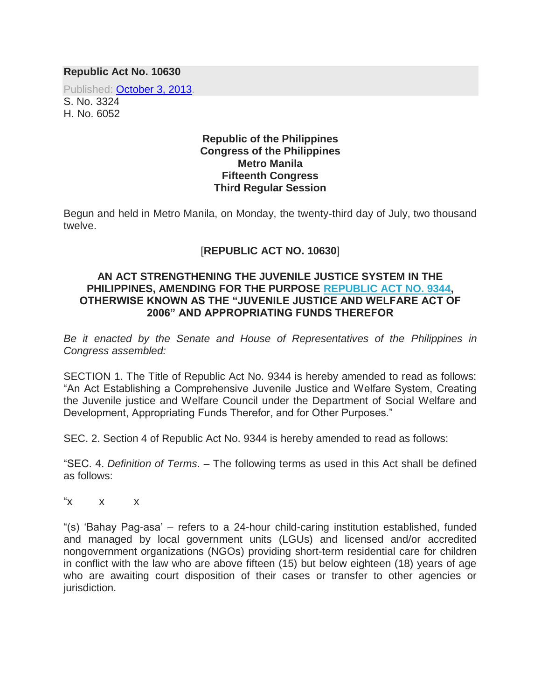## **Republic Act No. 10630**

Published: [October 3, 2013.](http://www.gov.ph/2013/10/03/republic-act-no-10630/)

S. No. 3324 H. No. 6052

## **Republic of the Philippines Congress of the Philippines Metro Manila Fifteenth Congress Third Regular Session**

Begun and held in Metro Manila, on Monday, the twenty-third day of July, two thousand twelve.

## [**REPUBLIC ACT NO. 10630**]

## **AN ACT STRENGTHENING THE JUVENILE JUSTICE SYSTEM IN THE PHILIPPINES, AMENDING FOR THE PURPOSE [REPUBLIC ACT NO. 9344,](http://www.gov.ph/2006/04/28/republic-act-no-9344-s-2006/) OTHERWISE KNOWN AS THE "JUVENILE JUSTICE AND WELFARE ACT OF 2006" AND APPROPRIATING FUNDS THEREFOR**

*Be it enacted by the Senate and House of Representatives of the Philippines in Congress assembled:*

SECTION 1. The Title of Republic Act No. 9344 is hereby amended to read as follows: "An Act Establishing a Comprehensive Juvenile Justice and Welfare System, Creating the Juvenile justice and Welfare Council under the Department of Social Welfare and Development, Appropriating Funds Therefor, and for Other Purposes."

SEC. 2. Section 4 of Republic Act No. 9344 is hereby amended to read as follows:

"SEC. 4. *Definition of Terms*. – The following terms as used in this Act shall be defined as follows:

 $\mathsf{x} \times \mathsf{x}$ 

"(s) 'Bahay Pag-asa' – refers to a 24-hour child-caring institution established, funded and managed by local government units (LGUs) and licensed and/or accredited nongovernment organizations (NGOs) providing short-term residential care for children in conflict with the law who are above fifteen (15) but below eighteen (18) years of age who are awaiting court disposition of their cases or transfer to other agencies or jurisdiction.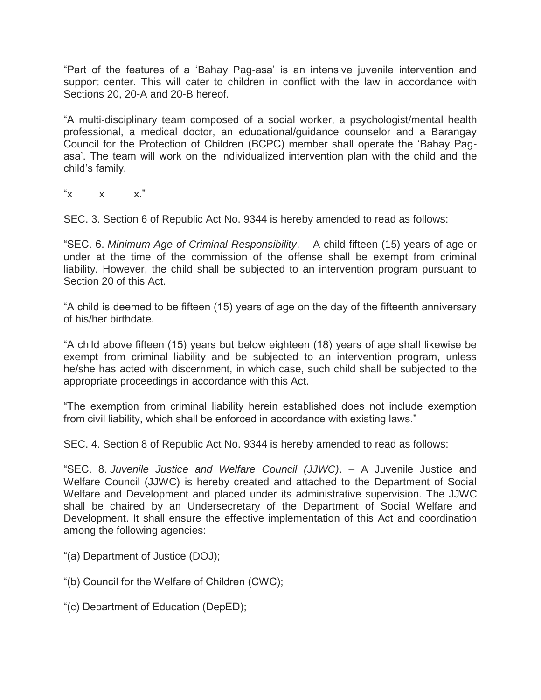"Part of the features of a 'Bahay Pag-asa' is an intensive juvenile intervention and support center. This will cater to children in conflict with the law in accordance with Sections 20, 20-A and 20-B hereof.

"A multi-disciplinary team composed of a social worker, a psychologist/mental health professional, a medical doctor, an educational/guidance counselor and a Barangay Council for the Protection of Children (BCPC) member shall operate the 'Bahay Pagasa'. The team will work on the individualized intervention plan with the child and the child's family.

" $X$   $X$   $X$ ."

SEC. 3. Section 6 of Republic Act No. 9344 is hereby amended to read as follows:

"SEC. 6. *Minimum Age of Criminal Responsibility*. – A child fifteen (15) years of age or under at the time of the commission of the offense shall be exempt from criminal liability. However, the child shall be subjected to an intervention program pursuant to Section 20 of this Act.

"A child is deemed to be fifteen (15) years of age on the day of the fifteenth anniversary of his/her birthdate.

"A child above fifteen (15) years but below eighteen (18) years of age shall likewise be exempt from criminal liability and be subjected to an intervention program, unless he/she has acted with discernment, in which case, such child shall be subjected to the appropriate proceedings in accordance with this Act.

"The exemption from criminal liability herein established does not include exemption from civil liability, which shall be enforced in accordance with existing laws."

SEC. 4. Section 8 of Republic Act No. 9344 is hereby amended to read as follows:

"SEC. 8. *Juvenile Justice and Welfare Council (JJWC)*. – A Juvenile Justice and Welfare Council (JJWC) is hereby created and attached to the Department of Social Welfare and Development and placed under its administrative supervision. The JJWC shall be chaired by an Undersecretary of the Department of Social Welfare and Development. It shall ensure the effective implementation of this Act and coordination among the following agencies:

- "(a) Department of Justice (DOJ);
- "(b) Council for the Welfare of Children (CWC);
- "(c) Department of Education (DepED);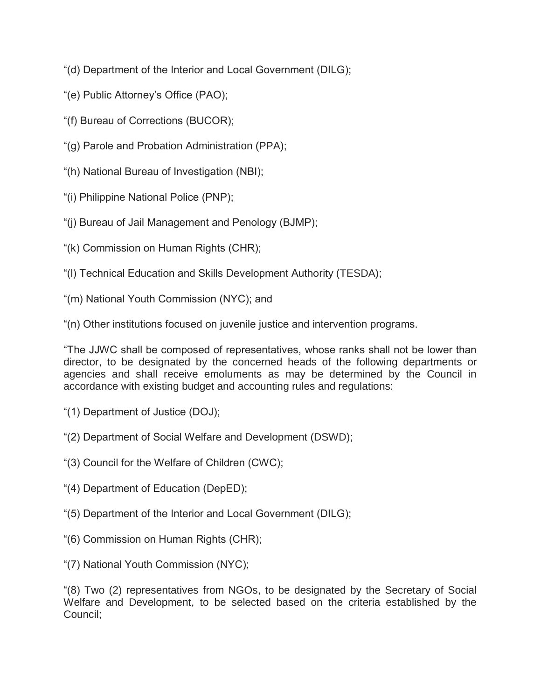"(d) Department of the Interior and Local Government (DILG);

- "(e) Public Attorney's Office (PAO);
- "(f) Bureau of Corrections (BUCOR);
- "(g) Parole and Probation Administration (PPA);
- "(h) National Bureau of Investigation (NBI);
- "(i) Philippine National Police (PNP);
- "(j) Bureau of Jail Management and Penology (BJMP);
- "(k) Commission on Human Rights (CHR);
- "(l) Technical Education and Skills Development Authority (TESDA);
- "(m) National Youth Commission (NYC); and

"(n) Other institutions focused on juvenile justice and intervention programs.

"The JJWC shall be composed of representatives, whose ranks shall not be lower than director, to be designated by the concerned heads of the following departments or agencies and shall receive emoluments as may be determined by the Council in accordance with existing budget and accounting rules and regulations:

- "(1) Department of Justice (DOJ);
- "(2) Department of Social Welfare and Development (DSWD);
- "(3) Council for the Welfare of Children (CWC);
- "(4) Department of Education (DepED);
- "(5) Department of the Interior and Local Government (DILG);
- "(6) Commission on Human Rights (CHR);
- "(7) National Youth Commission (NYC);

"(8) Two (2) representatives from NGOs, to be designated by the Secretary of Social Welfare and Development, to be selected based on the criteria established by the Council;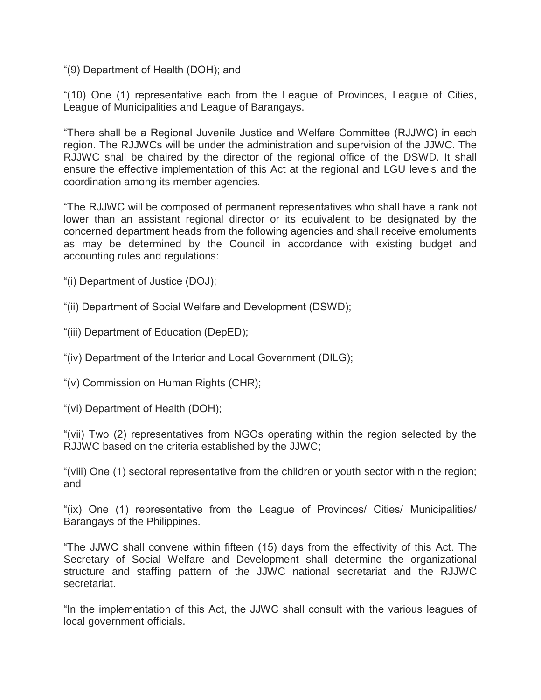"(9) Department of Health (DOH); and

"(10) One (1) representative each from the League of Provinces, League of Cities, League of Municipalities and League of Barangays.

"There shall be a Regional Juvenile Justice and Welfare Committee (RJJWC) in each region. The RJJWCs will be under the administration and supervision of the JJWC. The RJJWC shall be chaired by the director of the regional office of the DSWD. It shall ensure the effective implementation of this Act at the regional and LGU levels and the coordination among its member agencies.

"The RJJWC will be composed of permanent representatives who shall have a rank not lower than an assistant regional director or its equivalent to be designated by the concerned department heads from the following agencies and shall receive emoluments as may be determined by the Council in accordance with existing budget and accounting rules and regulations:

"(i) Department of Justice (DOJ);

"(ii) Department of Social Welfare and Development (DSWD);

"(iii) Department of Education (DepED);

"(iv) Department of the Interior and Local Government (DILG);

"(v) Commission on Human Rights (CHR);

"(vi) Department of Health (DOH);

"(vii) Two (2) representatives from NGOs operating within the region selected by the RJJWC based on the criteria established by the JJWC;

"(viii) One (1) sectoral representative from the children or youth sector within the region; and

"(ix) One (1) representative from the League of Provinces/ Cities/ Municipalities/ Barangays of the Philippines.

"The JJWC shall convene within fifteen (15) days from the effectivity of this Act. The Secretary of Social Welfare and Development shall determine the organizational structure and staffing pattern of the JJWC national secretariat and the RJJWC secretariat.

"In the implementation of this Act, the JJWC shall consult with the various leagues of local government officials.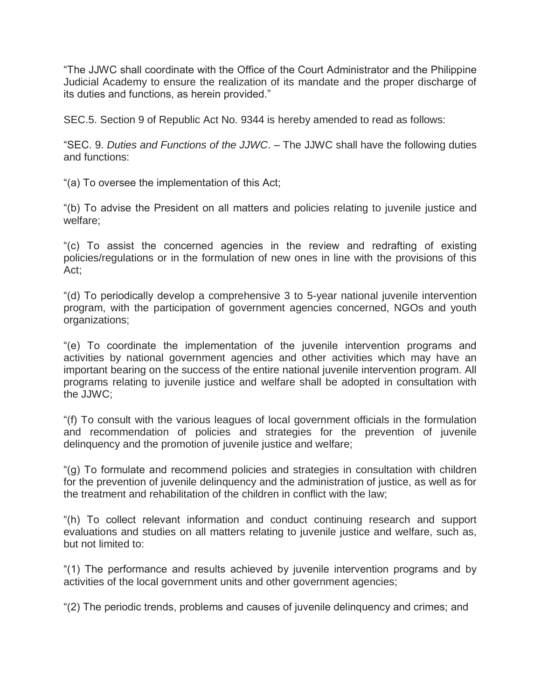"The JJWC shall coordinate with the Office of the Court Administrator and the Philippine Judicial Academy to ensure the realization of its mandate and the proper discharge of its duties and functions, as herein provided."

SEC.5. Section 9 of Republic Act No. 9344 is hereby amended to read as follows:

"SEC. 9. *Duties and Functions of the JJWC*. – The JJWC shall have the following duties and functions:

"(a) To oversee the implementation of this Act;

"(b) To advise the President on all matters and policies relating to juvenile justice and welfare;

"(c) To assist the concerned agencies in the review and redrafting of existing policies/regulations or in the formulation of new ones in line with the provisions of this Act;

"(d) To periodically develop a comprehensive 3 to 5-year national juvenile intervention program, with the participation of government agencies concerned, NGOs and youth organizations;

"(e) To coordinate the implementation of the juvenile intervention programs and activities by national government agencies and other activities which may have an important bearing on the success of the entire national juvenile intervention program. All programs relating to juvenile justice and welfare shall be adopted in consultation with the JJWC;

"(f) To consult with the various leagues of local government officials in the formulation and recommendation of policies and strategies for the prevention of juvenile delinquency and the promotion of juvenile justice and welfare;

"(g) To formulate and recommend policies and strategies in consultation with children for the prevention of juvenile delinquency and the administration of justice, as well as for the treatment and rehabilitation of the children in conflict with the law;

"(h) To collect relevant information and conduct continuing research and support evaluations and studies on all matters relating to juvenile justice and welfare, such as, but not limited to:

"(1) The performance and results achieved by juvenile intervention programs and by activities of the local government units and other government agencies;

"(2) The periodic trends, problems and causes of juvenile delinquency and crimes; and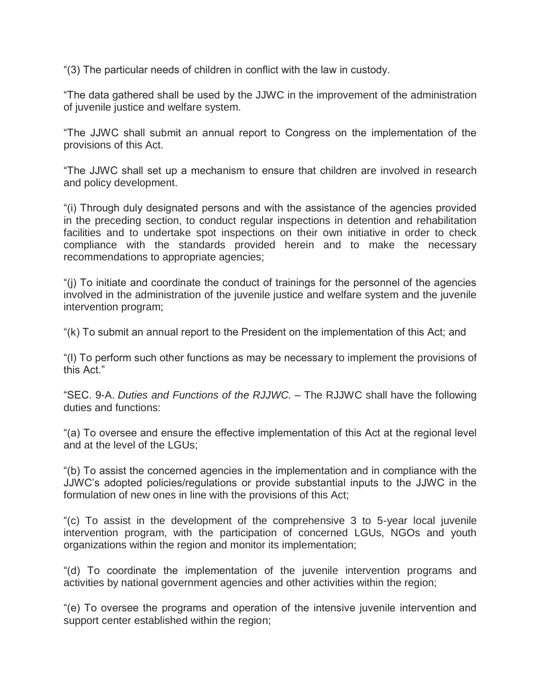"(3) The particular needs of children in conflict with the law in custody.

"The data gathered shall be used by the JJWC in the improvement of the administration of juvenile justice and welfare system.

"The JJWC shall submit an annual report to Congress on the implementation of the provisions of this Act.

"The JJWC shall set up a mechanism to ensure that children are involved in research and policy development.

"(i) Through duly designated persons and with the assistance of the agencies provided in the preceding section, to conduct regular inspections in detention and rehabilitation facilities and to undertake spot inspections on their own initiative in order to check compliance with the standards provided herein and to make the necessary recommendations to appropriate agencies;

"(j) To initiate and coordinate the conduct of trainings for the personnel of the agencies involved in the administration of the juvenile justice and welfare system and the juvenile intervention program;

"(k) To submit an annual report to the President on the implementation of this Act; and

"(l) To perform such other functions as may be necessary to implement the provisions of this Act."

"SEC. 9-A. *Duties and Functions of the RJJWC.* – The RJJWC shall have the following duties and functions:

"(a) To oversee and ensure the effective implementation of this Act at the regional level and at the level of the LGUs;

"(b) To assist the concerned agencies in the implementation and in compliance with the JJWC's adopted policies/regulations or provide substantial inputs to the JJWC in the formulation of new ones in line with the provisions of this Act;

"(c) To assist in the development of the comprehensive 3 to 5-year local juvenile intervention program, with the participation of concerned LGUs, NGOs and youth organizations within the region and monitor its implementation;

"(d) To coordinate the implementation of the juvenile intervention programs and activities by national government agencies and other activities within the region;

"(e) To oversee the programs and operation of the intensive juvenile intervention and support center established within the region;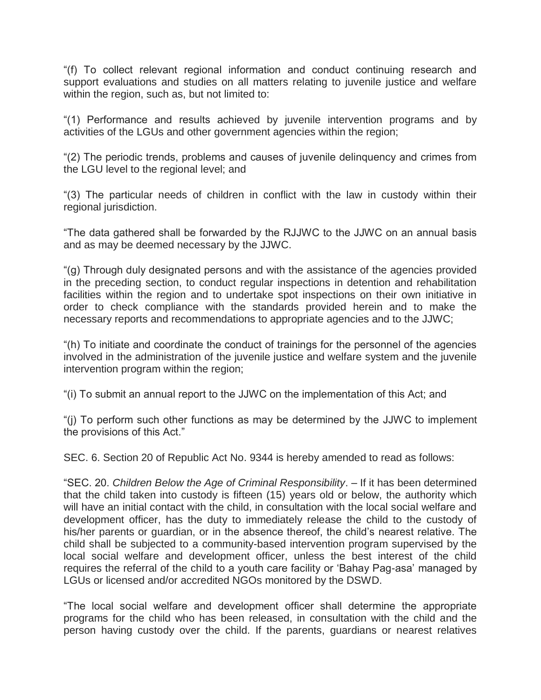"(f) To collect relevant regional information and conduct continuing research and support evaluations and studies on all matters relating to juvenile justice and welfare within the region, such as, but not limited to:

"(1) Performance and results achieved by juvenile intervention programs and by activities of the LGUs and other government agencies within the region;

"(2) The periodic trends, problems and causes of juvenile delinquency and crimes from the LGU level to the regional level; and

"(3) The particular needs of children in conflict with the law in custody within their regional jurisdiction.

"The data gathered shall be forwarded by the RJJWC to the JJWC on an annual basis and as may be deemed necessary by the JJWC.

"(g) Through duly designated persons and with the assistance of the agencies provided in the preceding section, to conduct regular inspections in detention and rehabilitation facilities within the region and to undertake spot inspections on their own initiative in order to check compliance with the standards provided herein and to make the necessary reports and recommendations to appropriate agencies and to the JJWC;

"(h) To initiate and coordinate the conduct of trainings for the personnel of the agencies involved in the administration of the juvenile justice and welfare system and the juvenile intervention program within the region;

"(i) To submit an annual report to the JJWC on the implementation of this Act; and

"(j) To perform such other functions as may be determined by the JJWC to implement the provisions of this Act."

SEC. 6. Section 20 of Republic Act No. 9344 is hereby amended to read as follows:

"SEC. 20. *Children Below the Age of Criminal Responsibility*. – If it has been determined that the child taken into custody is fifteen (15) years old or below, the authority which will have an initial contact with the child, in consultation with the local social welfare and development officer, has the duty to immediately release the child to the custody of his/her parents or guardian, or in the absence thereof, the child's nearest relative. The child shall be subjected to a community-based intervention program supervised by the local social welfare and development officer, unless the best interest of the child requires the referral of the child to a youth care facility or 'Bahay Pag-asa' managed by LGUs or licensed and/or accredited NGOs monitored by the DSWD.

"The local social welfare and development officer shall determine the appropriate programs for the child who has been released, in consultation with the child and the person having custody over the child. If the parents, guardians or nearest relatives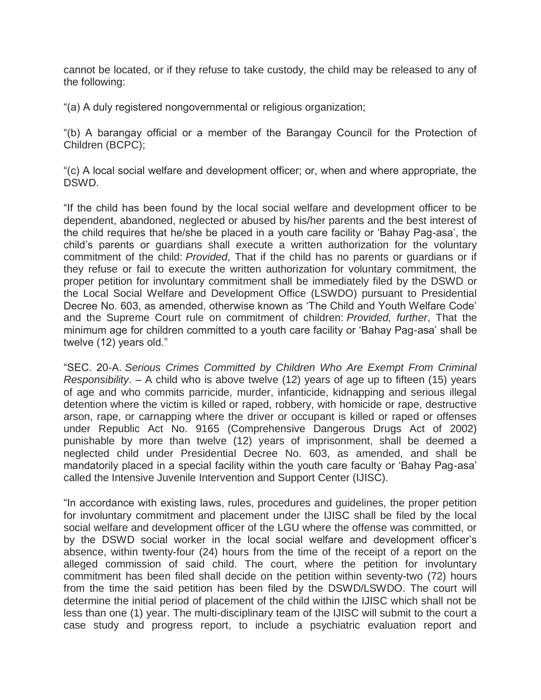cannot be located, or if they refuse to take custody, the child may be released to any of the following:

"(a) A duly registered nongovernmental or religious organization;

"(b) A barangay official or a member of the Barangay Council for the Protection of Children (BCPC);

"(c) A local social welfare and development officer; or, when and where appropriate, the DSWD.

"If the child has been found by the local social welfare and development officer to be dependent, abandoned, neglected or abused by his/her parents and the best interest of the child requires that he/she be placed in a youth care facility or 'Bahay Pag-asa', the child's parents or guardians shall execute a written authorization for the voluntary commitment of the child: *Provided*, That if the child has no parents or guardians or if they refuse or fail to execute the written authorization for voluntary commitment, the proper petition for involuntary commitment shall be immediately filed by the DSWD or the Local Social Welfare and Development Office (LSWDO) pursuant to Presidential Decree No. 603, as amended, otherwise known as 'The Child and Youth Welfare Code' and the Supreme Court rule on commitment of children: *Provided, further*, That the minimum age for children committed to a youth care facility or 'Bahay Pag-asa' shall be twelve (12) years old."

"SEC. 20-A. *Serious Crimes Committed by Children Who Are Exempt From Criminal Responsibility*. – A child who is above twelve (12) years of age up to fifteen (15) years of age and who commits parricide, murder, infanticide, kidnapping and serious illegal detention where the victim is killed or raped, robbery, with homicide or rape, destructive arson, rape, or carnapping where the driver or occupant is killed or raped or offenses under Republic Act No. 9165 (Comprehensive Dangerous Drugs Act of 2002) punishable by more than twelve (12) years of imprisonment, shall be deemed a neglected child under Presidential Decree No. 603, as amended, and shall be mandatorily placed in a special facility within the youth care faculty or 'Bahay Pag-asa' called the Intensive Juvenile Intervention and Support Center (IJISC).

"In accordance with existing laws, rules, procedures and guidelines, the proper petition for involuntary commitment and placement under the IJISC shall be filed by the local social welfare and development officer of the LGU where the offense was committed, or by the DSWD social worker in the local social welfare and development officer's absence, within twenty-four (24) hours from the time of the receipt of a report on the alleged commission of said child. The court, where the petition for involuntary commitment has been filed shall decide on the petition within seventy-two (72) hours from the time the said petition has been filed by the DSWD/LSWDO. The court will determine the initial period of placement of the child within the IJISC which shall not be less than one (1) year. The multi-disciplinary team of the IJISC will submit to the court a case study and progress report, to include a psychiatric evaluation report and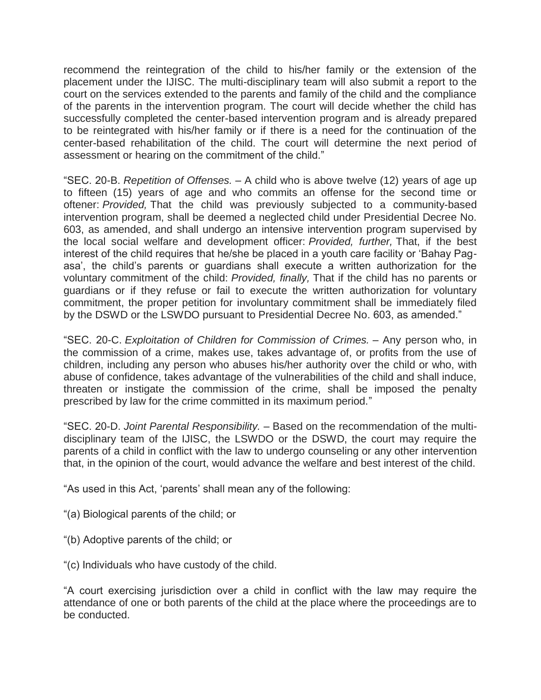recommend the reintegration of the child to his/her family or the extension of the placement under the IJISC. The multi-disciplinary team will also submit a report to the court on the services extended to the parents and family of the child and the compliance of the parents in the intervention program. The court will decide whether the child has successfully completed the center-based intervention program and is already prepared to be reintegrated with his/her family or if there is a need for the continuation of the center-based rehabilitation of the child. The court will determine the next period of assessment or hearing on the commitment of the child."

"SEC. 20-B. *Repetition of Offenses.* – A child who is above twelve (12) years of age up to fifteen (15) years of age and who commits an offense for the second time or oftener: *Provided,* That the child was previously subjected to a community-based intervention program, shall be deemed a neglected child under Presidential Decree No. 603, as amended, and shall undergo an intensive intervention program supervised by the local social welfare and development officer: *Provided, further,* That, if the best interest of the child requires that he/she be placed in a youth care facility or 'Bahay Pagasa', the child's parents or guardians shall execute a written authorization for the voluntary commitment of the child: *Provided, finally,* That if the child has no parents or guardians or if they refuse or fail to execute the written authorization for voluntary commitment, the proper petition for involuntary commitment shall be immediately filed by the DSWD or the LSWDO pursuant to Presidential Decree No. 603, as amended."

"SEC. 20-C. *Exploitation of Children for Commission of Crimes.* – Any person who, in the commission of a crime, makes use, takes advantage of, or profits from the use of children, including any person who abuses his/her authority over the child or who, with abuse of confidence, takes advantage of the vulnerabilities of the child and shall induce, threaten or instigate the commission of the crime, shall be imposed the penalty prescribed by law for the crime committed in its maximum period."

"SEC. 20-D. *Joint Parental Responsibility.* – Based on the recommendation of the multidisciplinary team of the IJISC, the LSWDO or the DSWD, the court may require the parents of a child in conflict with the law to undergo counseling or any other intervention that, in the opinion of the court, would advance the welfare and best interest of the child.

"As used in this Act, 'parents' shall mean any of the following:

- "(a) Biological parents of the child; or
- "(b) Adoptive parents of the child; or
- "(c) Individuals who have custody of the child.

"A court exercising jurisdiction over a child in conflict with the law may require the attendance of one or both parents of the child at the place where the proceedings are to be conducted.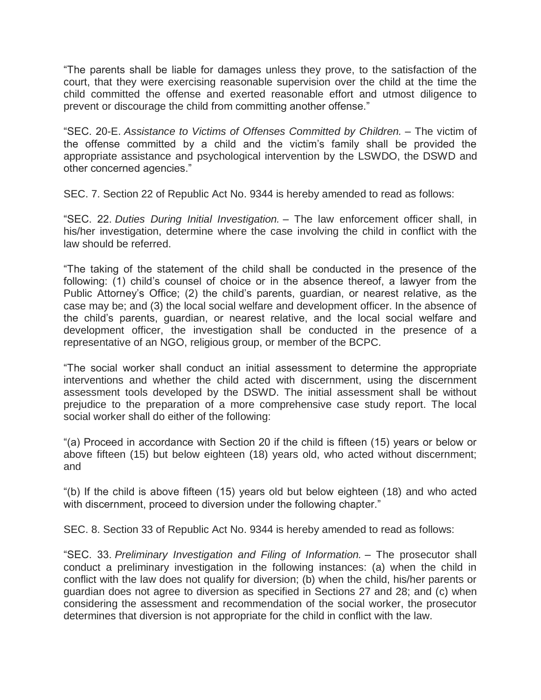"The parents shall be liable for damages unless they prove, to the satisfaction of the court, that they were exercising reasonable supervision over the child at the time the child committed the offense and exerted reasonable effort and utmost diligence to prevent or discourage the child from committing another offense."

"SEC. 20-E. *Assistance to Victims of Offenses Committed by Children.* – The victim of the offense committed by a child and the victim's family shall be provided the appropriate assistance and psychological intervention by the LSWDO, the DSWD and other concerned agencies."

SEC. 7. Section 22 of Republic Act No. 9344 is hereby amended to read as follows:

"SEC. 22. *Duties During Initial Investigation.* – The law enforcement officer shall, in his/her investigation, determine where the case involving the child in conflict with the law should be referred.

"The taking of the statement of the child shall be conducted in the presence of the following: (1) child's counsel of choice or in the absence thereof, a lawyer from the Public Attorney's Office; (2) the child's parents, guardian, or nearest relative, as the case may be; and (3) the local social welfare and development officer. In the absence of the child's parents, guardian, or nearest relative, and the local social welfare and development officer, the investigation shall be conducted in the presence of a representative of an NGO, religious group, or member of the BCPC.

"The social worker shall conduct an initial assessment to determine the appropriate interventions and whether the child acted with discernment, using the discernment assessment tools developed by the DSWD. The initial assessment shall be without prejudice to the preparation of a more comprehensive case study report. The local social worker shall do either of the following:

"(a) Proceed in accordance with Section 20 if the child is fifteen (15) years or below or above fifteen (15) but below eighteen (18) years old, who acted without discernment; and

"(b) If the child is above fifteen (15) years old but below eighteen (18) and who acted with discernment, proceed to diversion under the following chapter."

SEC. 8. Section 33 of Republic Act No. 9344 is hereby amended to read as follows:

"SEC. 33. *Preliminary Investigation and Filing of Information.* – The prosecutor shall conduct a preliminary investigation in the following instances: (a) when the child in conflict with the law does not qualify for diversion; (b) when the child, his/her parents or guardian does not agree to diversion as specified in Sections 27 and 28; and (c) when considering the assessment and recommendation of the social worker, the prosecutor determines that diversion is not appropriate for the child in conflict with the law.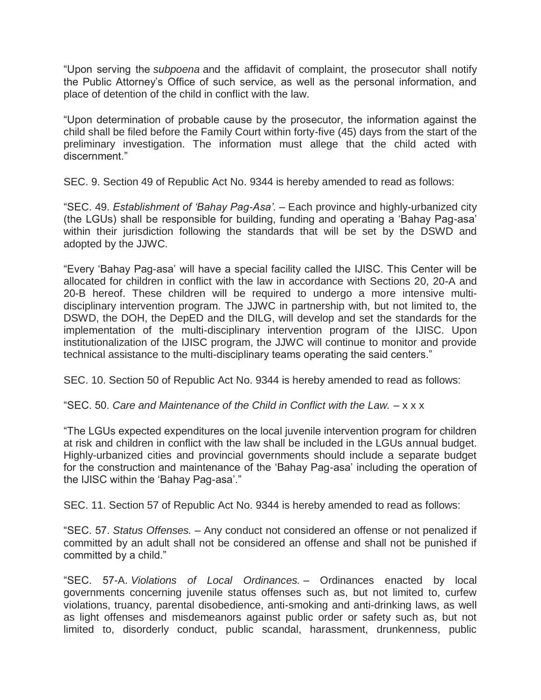"Upon serving the *subpoena* and the affidavit of complaint, the prosecutor shall notify the Public Attorney's Office of such service, as well as the personal information, and place of detention of the child in conflict with the law.

"Upon determination of probable cause by the prosecutor, the information against the child shall be filed before the Family Court within forty-five (45) days from the start of the preliminary investigation. The information must allege that the child acted with discernment."

SEC. 9. Section 49 of Republic Act No. 9344 is hereby amended to read as follows:

"SEC. 49. *Establishment of 'Bahay Pag-Asa'.* – Each province and highly-urbanized city (the LGUs) shall be responsible for building, funding and operating a 'Bahay Pag-asa' within their jurisdiction following the standards that will be set by the DSWD and adopted by the JJWC.

"Every 'Bahay Pag-asa' will have a special facility called the IJISC. This Center will be allocated for children in conflict with the law in accordance with Sections 20, 20-A and 20-B hereof. These children will be required to undergo a more intensive multidisciplinary intervention program. The JJWC in partnership with, but not limited to, the DSWD, the DOH, the DepED and the DILG, will develop and set the standards for the implementation of the multi-disciplinary intervention program of the IJISC. Upon institutionalization of the IJISC program, the JJWC will continue to monitor and provide technical assistance to the multi-disciplinary teams operating the said centers."

SEC. 10. Section 50 of Republic Act No. 9344 is hereby amended to read as follows:

"SEC. 50. *Care and Maintenance of the Child in Conflict with the Law.* – x x x

"The LGUs expected expenditures on the local juvenile intervention program for children at risk and children in conflict with the law shall be included in the LGUs annual budget. Highly-urbanized cities and provincial governments should include a separate budget for the construction and maintenance of the 'Bahay Pag-asa' including the operation of the IJISC within the 'Bahay Pag-asa'."

SEC. 11. Section 57 of Republic Act No. 9344 is hereby amended to read as follows:

"SEC. 57. *Status Offenses.* – Any conduct not considered an offense or not penalized if committed by an adult shall not be considered an offense and shall not be punished if committed by a child."

"SEC. 57-A. *Violations of Local Ordinances.* – Ordinances enacted by local governments concerning juvenile status offenses such as, but not limited to, curfew violations, truancy, parental disobedience, anti-smoking and anti-drinking laws, as well as light offenses and misdemeanors against public order or safety such as, but not limited to, disorderly conduct, public scandal, harassment, drunkenness, public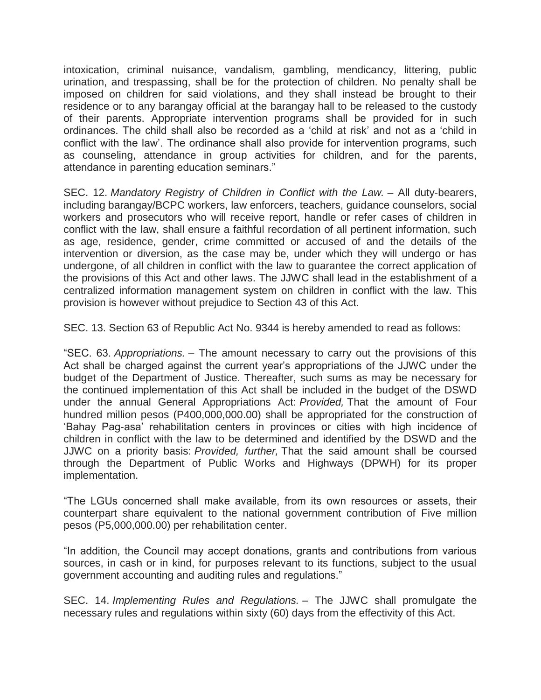intoxication, criminal nuisance, vandalism, gambling, mendicancy, littering, public urination, and trespassing, shall be for the protection of children. No penalty shall be imposed on children for said violations, and they shall instead be brought to their residence or to any barangay official at the barangay hall to be released to the custody of their parents. Appropriate intervention programs shall be provided for in such ordinances. The child shall also be recorded as a 'child at risk' and not as a 'child in conflict with the law'. The ordinance shall also provide for intervention programs, such as counseling, attendance in group activities for children, and for the parents, attendance in parenting education seminars."

SEC. 12. *Mandatory Registry of Children in Conflict with the Law.* – All duty-bearers, including barangay/BCPC workers, law enforcers, teachers, guidance counselors, social workers and prosecutors who will receive report, handle or refer cases of children in conflict with the law, shall ensure a faithful recordation of all pertinent information, such as age, residence, gender, crime committed or accused of and the details of the intervention or diversion, as the case may be, under which they will undergo or has undergone, of all children in conflict with the law to guarantee the correct application of the provisions of this Act and other laws. The JJWC shall lead in the establishment of a centralized information management system on children in conflict with the law. This provision is however without prejudice to Section 43 of this Act.

SEC. 13. Section 63 of Republic Act No. 9344 is hereby amended to read as follows:

"SEC. 63. *Appropriations.* – The amount necessary to carry out the provisions of this Act shall be charged against the current year's appropriations of the JJWC under the budget of the Department of Justice. Thereafter, such sums as may be necessary for the continued implementation of this Act shall be included in the budget of the DSWD under the annual General Appropriations Act: *Provided,* That the amount of Four hundred million pesos (P400,000,000.00) shall be appropriated for the construction of 'Bahay Pag-asa' rehabilitation centers in provinces or cities with high incidence of children in conflict with the law to be determined and identified by the DSWD and the JJWC on a priority basis: *Provided, further,* That the said amount shall be coursed through the Department of Public Works and Highways (DPWH) for its proper implementation.

"The LGUs concerned shall make available, from its own resources or assets, their counterpart share equivalent to the national government contribution of Five million pesos (P5,000,000.00) per rehabilitation center.

"In addition, the Council may accept donations, grants and contributions from various sources, in cash or in kind, for purposes relevant to its functions, subject to the usual government accounting and auditing rules and regulations."

SEC. 14. *Implementing Rules and Regulations.* – The JJWC shall promulgate the necessary rules and regulations within sixty (60) days from the effectivity of this Act.